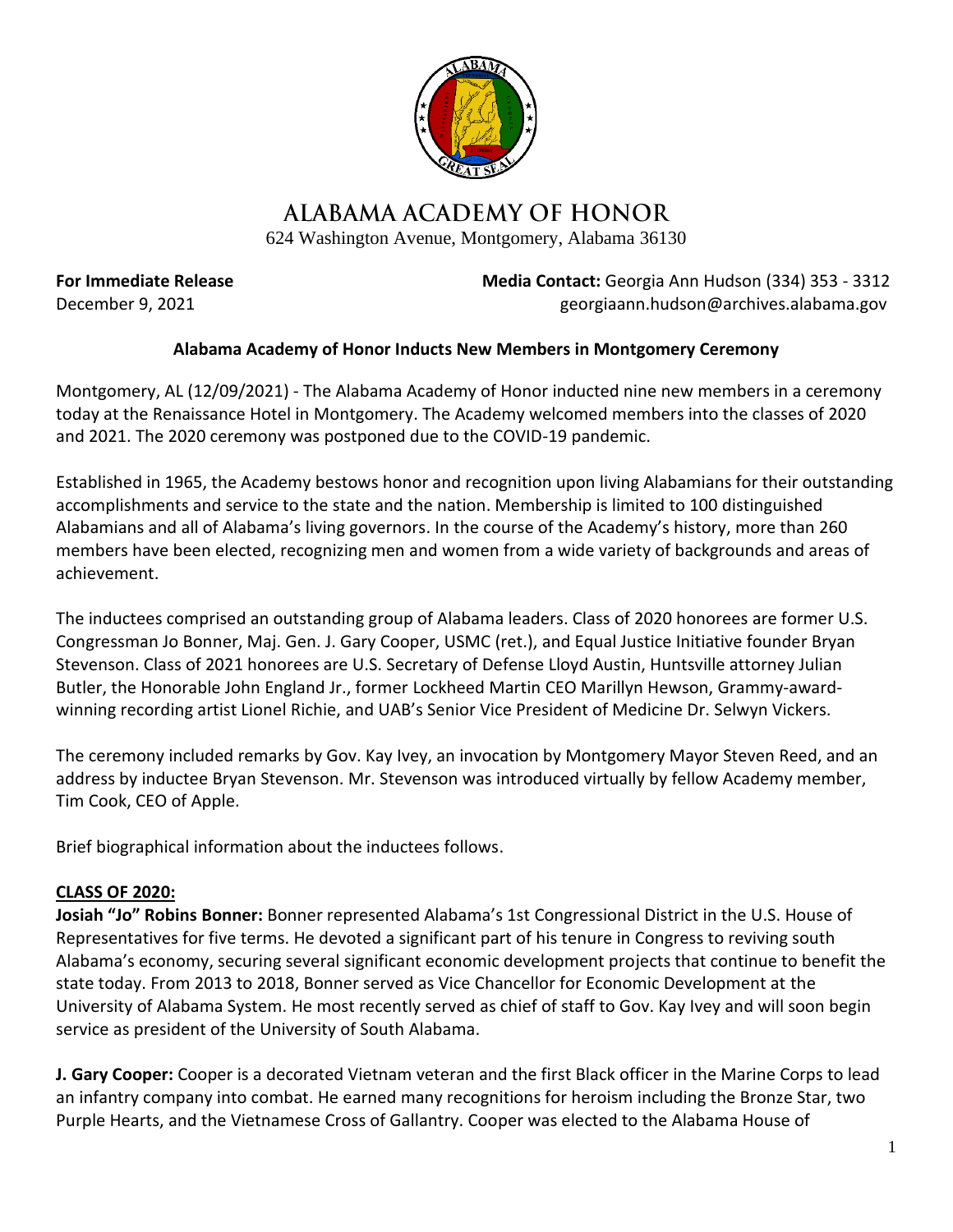

## ALABAMA ACADEMY OF HONOR

624 Washington Avenue, Montgomery, Alabama 36130

**For Immediate Release Media Contact: Georgia Ann Hudson (334) 353 - 3312** December 9, 2021 georgiaann.hudson@archives.alabama.gov

## **Alabama Academy of Honor Inducts New Members in Montgomery Ceremony**

Montgomery, AL (12/09/2021) - The Alabama Academy of Honor inducted nine new members in a ceremony today at the Renaissance Hotel in Montgomery. The Academy welcomed members into the classes of 2020 and 2021. The 2020 ceremony was postponed due to the COVID-19 pandemic.

Established in 1965, the Academy bestows honor and recognition upon living Alabamians for their outstanding accomplishments and service to the state and the nation. Membership is limited to 100 distinguished Alabamians and all of Alabama's living governors. In the course of the Academy's history, more than 260 members have been elected, recognizing men and women from a wide variety of backgrounds and areas of achievement.

The inductees comprised an outstanding group of Alabama leaders. Class of 2020 honorees are former U.S. Congressman Jo Bonner, Maj. Gen. J. Gary Cooper, USMC (ret.), and Equal Justice Initiative founder Bryan Stevenson. Class of 2021 honorees are U.S. Secretary of Defense Lloyd Austin, Huntsville attorney Julian Butler, the Honorable John England Jr., former Lockheed Martin CEO Marillyn Hewson, Grammy-awardwinning recording artist Lionel Richie, and UAB's Senior Vice President of Medicine Dr. Selwyn Vickers.

The ceremony included remarks by Gov. Kay Ivey, an invocation by Montgomery Mayor Steven Reed, and an address by inductee Bryan Stevenson. Mr. Stevenson was introduced virtually by fellow Academy member, Tim Cook, CEO of Apple.

Brief biographical information about the inductees follows.

## **CLASS OF 2020:**

**Josiah "Jo" Robins Bonner:** Bonner represented Alabama's 1st Congressional District in the U.S. House of Representatives for five terms. He devoted a significant part of his tenure in Congress to reviving south Alabama's economy, securing several significant economic development projects that continue to benefit the state today. From 2013 to 2018, Bonner served as Vice Chancellor for Economic Development at the University of Alabama System. He most recently served as chief of staff to Gov. Kay Ivey and will soon begin service as president of the University of South Alabama.

**J. Gary Cooper:** Cooper is a decorated Vietnam veteran and the first Black officer in the Marine Corps to lead an infantry company into combat. He earned many recognitions for heroism including the Bronze Star, two Purple Hearts, and the Vietnamese Cross of Gallantry. Cooper was elected to the Alabama House of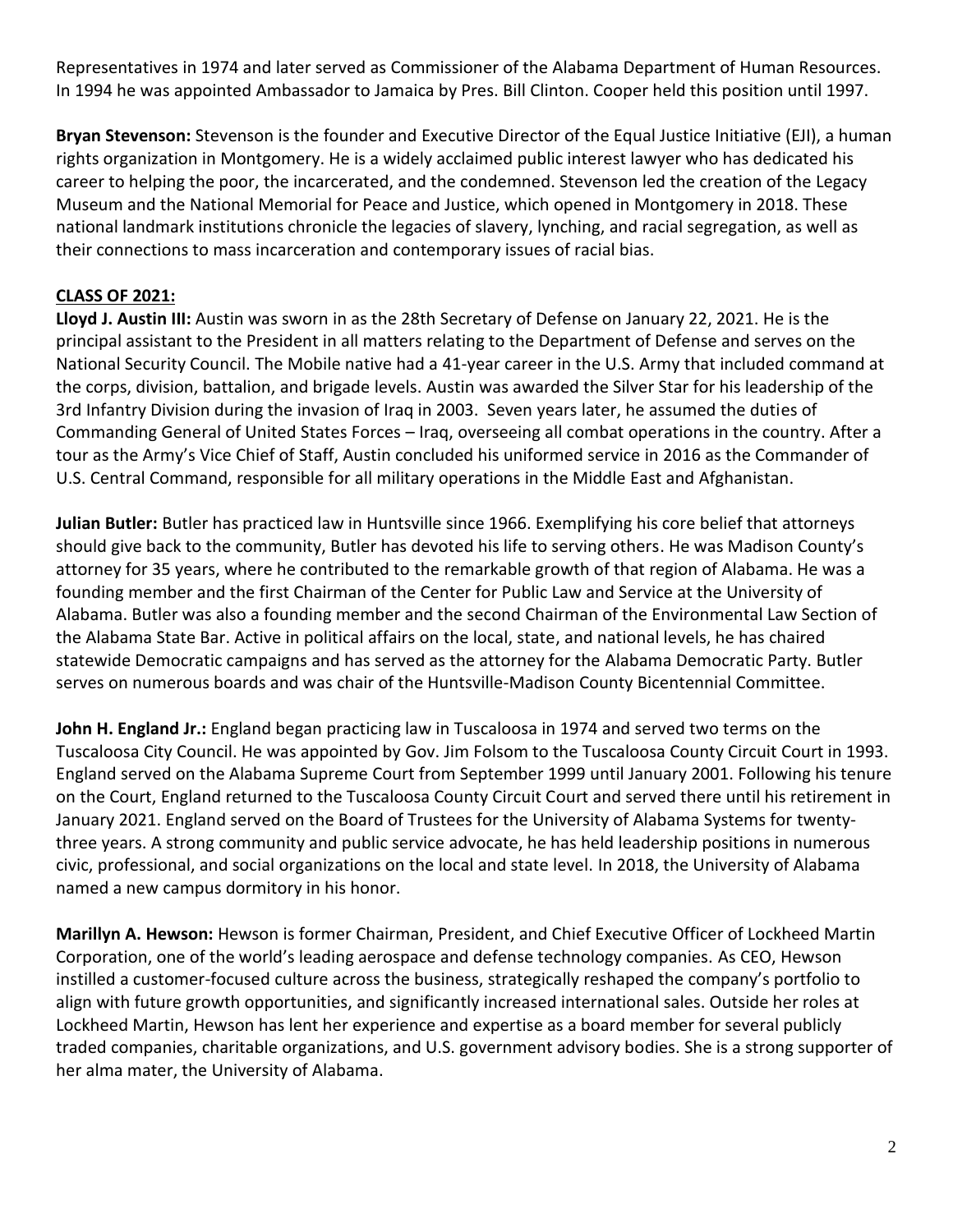Representatives in 1974 and later served as Commissioner of the Alabama Department of Human Resources. In 1994 he was appointed Ambassador to Jamaica by Pres. Bill Clinton. Cooper held this position until 1997.

**Bryan Stevenson:** Stevenson is the founder and Executive Director of the Equal Justice Initiative (EJI), a human rights organization in Montgomery. He is a widely acclaimed public interest lawyer who has dedicated his career to helping the poor, the incarcerated, and the condemned. Stevenson led the creation of the Legacy Museum and the National Memorial for Peace and Justice, which opened in Montgomery in 2018. These national landmark institutions chronicle the legacies of slavery, lynching, and racial segregation, as well as their connections to mass incarceration and contemporary issues of racial bias.

## **CLASS OF 2021:**

**Lloyd J. Austin III:** Austin was sworn in as the 28th Secretary of Defense on January 22, 2021. He is the principal assistant to the President in all matters relating to the Department of Defense and serves on the National Security Council. The Mobile native had a 41-year career in the U.S. Army that included command at the corps, division, battalion, and brigade levels. Austin was awarded the Silver Star for his leadership of the 3rd Infantry Division during the invasion of Iraq in 2003. Seven years later, he assumed the duties of Commanding General of United States Forces – Iraq, overseeing all combat operations in the country. After a tour as the Army's Vice Chief of Staff, Austin concluded his uniformed service in 2016 as the Commander of U.S. Central Command, responsible for all military operations in the Middle East and Afghanistan.

**Julian Butler:** Butler has practiced law in Huntsville since 1966. Exemplifying his core belief that attorneys should give back to the community, Butler has devoted his life to serving others. He was Madison County's attorney for 35 years, where he contributed to the remarkable growth of that region of Alabama. He was a founding member and the first Chairman of the Center for Public Law and Service at the University of Alabama. Butler was also a founding member and the second Chairman of the Environmental Law Section of the Alabama State Bar. Active in political affairs on the local, state, and national levels, he has chaired statewide Democratic campaigns and has served as the attorney for the Alabama Democratic Party. Butler serves on numerous boards and was chair of the Huntsville-Madison County Bicentennial Committee.

**John H. England Jr.:** England began practicing law in Tuscaloosa in 1974 and served two terms on the Tuscaloosa City Council. He was appointed by Gov. Jim Folsom to the Tuscaloosa County Circuit Court in 1993. England served on the Alabama Supreme Court from September 1999 until January 2001. Following his tenure on the Court, England returned to the Tuscaloosa County Circuit Court and served there until his retirement in January 2021. England served on the Board of Trustees for the University of Alabama Systems for twentythree years. A strong community and public service advocate, he has held leadership positions in numerous civic, professional, and social organizations on the local and state level. In 2018, the University of Alabama named a new campus dormitory in his honor.

**Marillyn A. Hewson:** Hewson is former Chairman, President, and Chief Executive Officer of Lockheed Martin Corporation, one of the world's leading aerospace and defense technology companies. As CEO, Hewson instilled a customer-focused culture across the business, strategically reshaped the company's portfolio to align with future growth opportunities, and significantly increased international sales. Outside her roles at Lockheed Martin, Hewson has lent her experience and expertise as a board member for several publicly traded companies, charitable organizations, and U.S. government advisory bodies. She is a strong supporter of her alma mater, the University of Alabama.